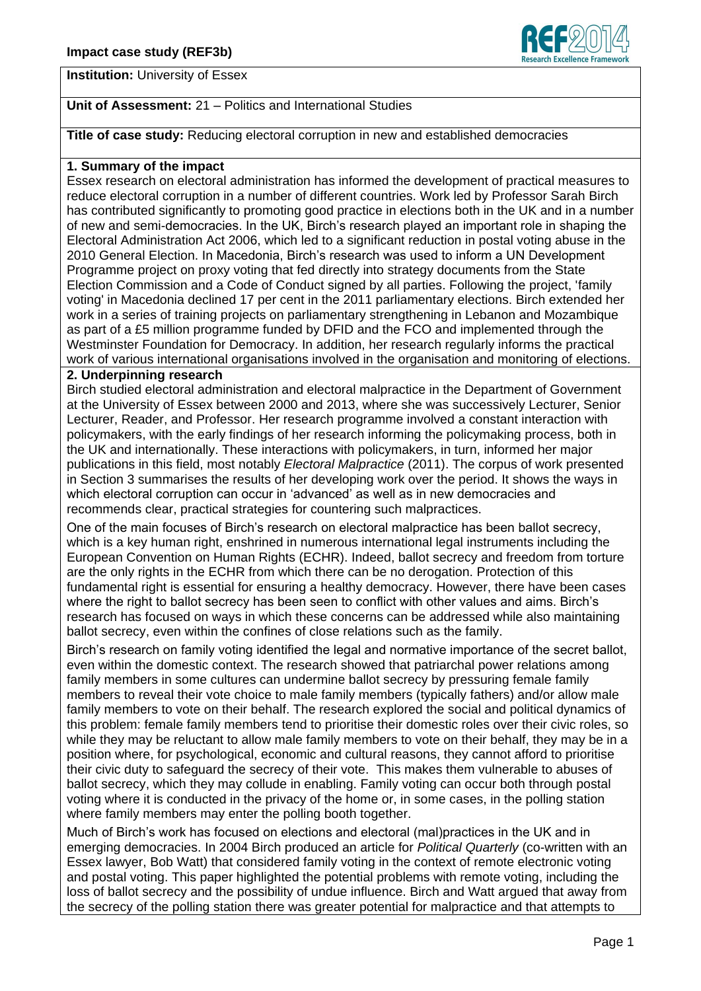

**Institution:** University of Essex

# **Unit of Assessment:** 21 – Politics and International Studies

**Title of case study:** Reducing electoral corruption in new and established democracies

## **1. Summary of the impact**

Essex research on electoral administration has informed the development of practical measures to reduce electoral corruption in a number of different countries. Work led by Professor Sarah Birch has contributed significantly to promoting good practice in elections both in the UK and in a number of new and semi-democracies. In the UK, Birch's research played an important role in shaping the Electoral Administration Act 2006, which led to a significant reduction in postal voting abuse in the 2010 General Election. In Macedonia, Birch's research was used to inform a UN Development Programme project on proxy voting that fed directly into strategy documents from the State Election Commission and a Code of Conduct signed by all parties. Following the project, 'family voting' in Macedonia declined 17 per cent in the 2011 parliamentary elections. Birch extended her work in a series of training projects on parliamentary strengthening in Lebanon and Mozambique as part of a £5 million programme funded by DFID and the FCO and implemented through the Westminster Foundation for Democracy. In addition, her research regularly informs the practical work of various international organisations involved in the organisation and monitoring of elections.

# **2. Underpinning research**

Birch studied electoral administration and electoral malpractice in the Department of Government at the University of Essex between 2000 and 2013, where she was successively Lecturer, Senior Lecturer, Reader, and Professor. Her research programme involved a constant interaction with policymakers, with the early findings of her research informing the policymaking process, both in the UK and internationally. These interactions with policymakers, in turn, informed her major publications in this field, most notably *Electoral Malpractice* (2011). The corpus of work presented in Section 3 summarises the results of her developing work over the period. It shows the ways in which electoral corruption can occur in 'advanced' as well as in new democracies and recommends clear, practical strategies for countering such malpractices.

One of the main focuses of Birch's research on electoral malpractice has been ballot secrecy, which is a key human right, enshrined in numerous international legal instruments including the European Convention on Human Rights (ECHR). Indeed, ballot secrecy and freedom from torture are the only rights in the ECHR from which there can be no derogation. Protection of this fundamental right is essential for ensuring a healthy democracy. However, there have been cases where the right to ballot secrecy has been seen to conflict with other values and aims. Birch's research has focused on ways in which these concerns can be addressed while also maintaining ballot secrecy, even within the confines of close relations such as the family.

Birch's research on family voting identified the legal and normative importance of the secret ballot, even within the domestic context. The research showed that patriarchal power relations among family members in some cultures can undermine ballot secrecy by pressuring female family members to reveal their vote choice to male family members (typically fathers) and/or allow male family members to vote on their behalf. The research explored the social and political dynamics of this problem: female family members tend to prioritise their domestic roles over their civic roles, so while they may be reluctant to allow male family members to vote on their behalf, they may be in a position where, for psychological, economic and cultural reasons, they cannot afford to prioritise their civic duty to safeguard the secrecy of their vote. This makes them vulnerable to abuses of ballot secrecy, which they may collude in enabling. Family voting can occur both through postal voting where it is conducted in the privacy of the home or, in some cases, in the polling station where family members may enter the polling booth together.

Much of Birch's work has focused on elections and electoral (mal)practices in the UK and in emerging democracies. In 2004 Birch produced an article for *Political Quarterly* (co-written with an Essex lawyer, Bob Watt) that considered family voting in the context of remote electronic voting and postal voting. This paper highlighted the potential problems with remote voting, including the loss of ballot secrecy and the possibility of undue influence. Birch and Watt argued that away from the secrecy of the polling station there was greater potential for malpractice and that attempts to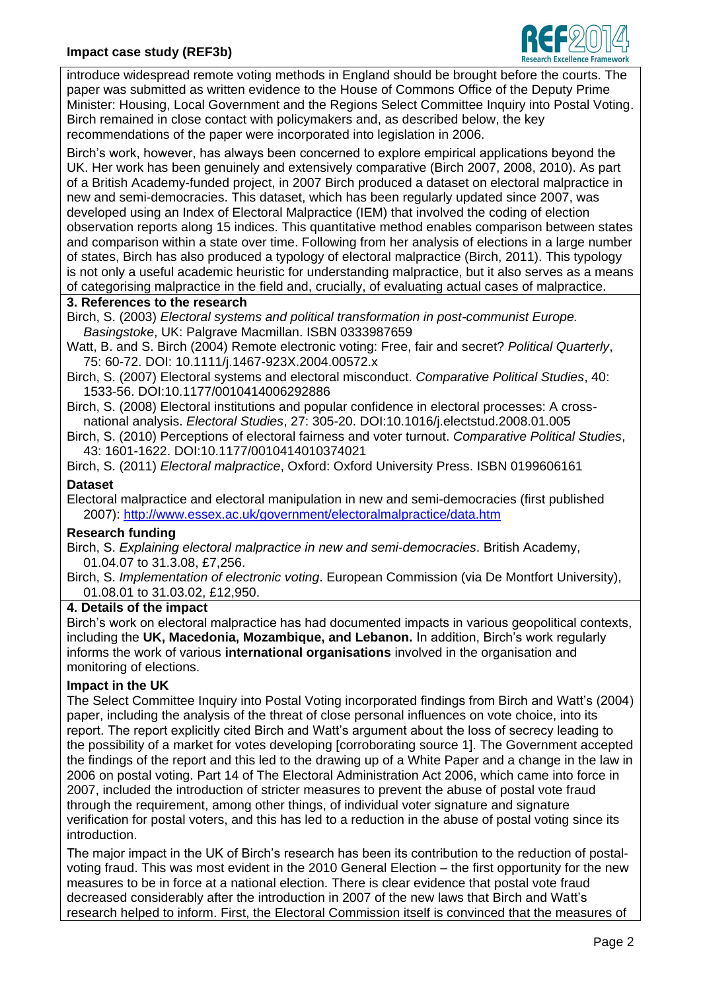

introduce widespread remote voting methods in England should be brought before the courts. The paper was submitted as written evidence to the House of Commons Office of the Deputy Prime Minister: Housing, Local Government and the Regions Select Committee Inquiry into Postal Voting. Birch remained in close contact with policymakers and, as described below, the key recommendations of the paper were incorporated into legislation in 2006.

Birch's work, however, has always been concerned to explore empirical applications beyond the UK. Her work has been genuinely and extensively comparative (Birch 2007, 2008, 2010). As part of a British Academy-funded project, in 2007 Birch produced a dataset on electoral malpractice in new and semi-democracies. This dataset, which has been regularly updated since 2007, was developed using an Index of Electoral Malpractice (IEM) that involved the coding of election observation reports along 15 indices. This quantitative method enables comparison between states and comparison within a state over time. Following from her analysis of elections in a large number of states, Birch has also produced a typology of electoral malpractice (Birch, 2011). This typology is not only a useful academic heuristic for understanding malpractice, but it also serves as a means of categorising malpractice in the field and, crucially, of evaluating actual cases of malpractice.

## **3. References to the research**

Birch, S. (2003) *Electoral systems and political transformation in post-communist Europe. Basingstoke*, UK: Palgrave Macmillan. ISBN 0333987659

Watt, B. and S. Birch (2004) Remote electronic voting: Free, fair and secret? *Political Quarterly*, 75: 60-72. DOI: 10.1111/j.1467-923X.2004.00572.x

Birch, S. (2007) Electoral systems and electoral misconduct. *Comparative Political Studies*, 40: 1533-56. DOI:10.1177/0010414006292886

Birch, S. (2008) Electoral institutions and popular confidence in electoral processes: A crossnational analysis. *Electoral Studies*, 27: 305-20. DOI:10.1016/j.electstud.2008.01.005

Birch, S. (2010) Perceptions of electoral fairness and voter turnout. *Comparative Political Studies*, 43: 1601-1622. DOI:10.1177/0010414010374021

Birch, S. (2011) *Electoral malpractice*, Oxford: Oxford University Press. ISBN 0199606161

# **Dataset**

Electoral malpractice and electoral manipulation in new and semi-democracies (first published 2007):<http://www.essex.ac.uk/government/electoralmalpractice/data.htm>

## **Research funding**

Birch, S. *Explaining electoral malpractice in new and semi-democracies*. British Academy, 01.04.07 to 31.3.08, £7,256.

Birch, S. *Implementation of electronic voting*. European Commission (via De Montfort University), 01.08.01 to 31.03.02, £12,950.

#### **4. Details of the impact**

Birch's work on electoral malpractice has had documented impacts in various geopolitical contexts, including the **UK, Macedonia, Mozambique, and Lebanon.** In addition, Birch's work regularly informs the work of various **international organisations** involved in the organisation and monitoring of elections.

## **Impact in the UK**

The Select Committee Inquiry into Postal Voting incorporated findings from Birch and Watt's (2004) paper, including the analysis of the threat of close personal influences on vote choice, into its report. The report explicitly cited Birch and Watt's argument about the loss of secrecy leading to the possibility of a market for votes developing [corroborating source 1]. The Government accepted the findings of the report and this led to the drawing up of a White Paper and a change in the law in 2006 on postal voting. Part 14 of The Electoral Administration Act 2006, which came into force in 2007, included the introduction of stricter measures to prevent the abuse of postal vote fraud through the requirement, among other things, of individual voter signature and signature verification for postal voters, and this has led to a reduction in the abuse of postal voting since its introduction.

The major impact in the UK of Birch's research has been its contribution to the reduction of postalvoting fraud. This was most evident in the 2010 General Election – the first opportunity for the new measures to be in force at a national election. There is clear evidence that postal vote fraud decreased considerably after the introduction in 2007 of the new laws that Birch and Watt's research helped to inform. First, the Electoral Commission itself is convinced that the measures of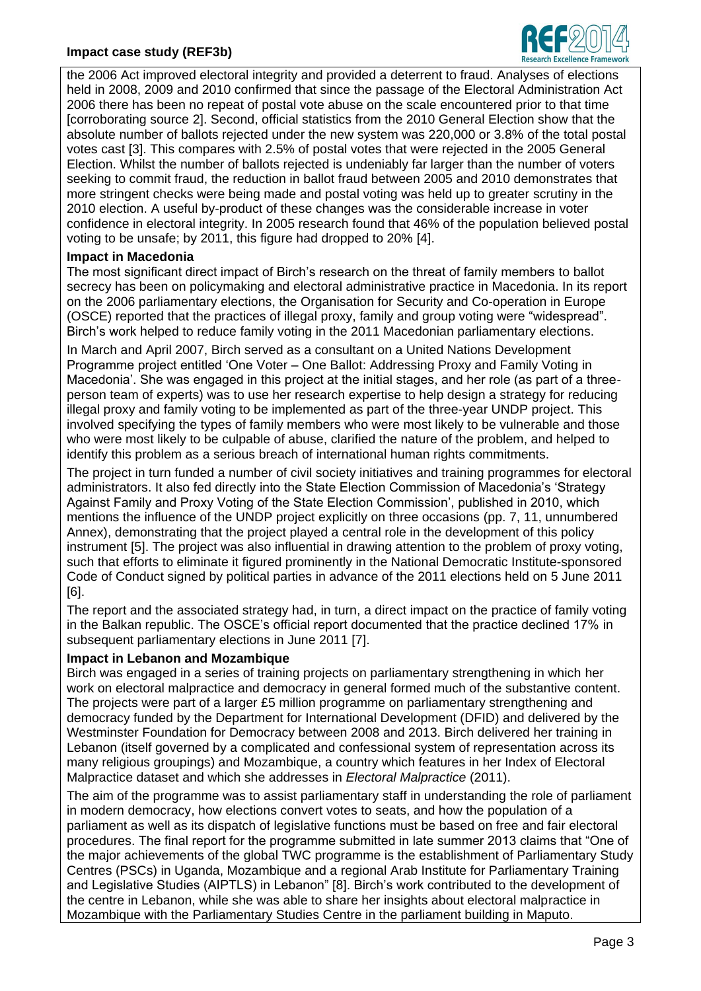## **Impact case study (REF3b)**



the 2006 Act improved electoral integrity and provided a deterrent to fraud. Analyses of elections held in 2008, 2009 and 2010 confirmed that since the passage of the Electoral Administration Act 2006 there has been no repeat of postal vote abuse on the scale encountered prior to that time [corroborating source 2]. Second, official statistics from the 2010 General Election show that the absolute number of ballots rejected under the new system was 220,000 or 3.8% of the total postal votes cast [3]. This compares with 2.5% of postal votes that were rejected in the 2005 General Election. Whilst the number of ballots rejected is undeniably far larger than the number of voters seeking to commit fraud, the reduction in ballot fraud between 2005 and 2010 demonstrates that more stringent checks were being made and postal voting was held up to greater scrutiny in the 2010 election. A useful by-product of these changes was the considerable increase in voter confidence in electoral integrity. In 2005 research found that 46% of the population believed postal voting to be unsafe; by 2011, this figure had dropped to 20% [4].

#### **Impact in Macedonia**

The most significant direct impact of Birch's research on the threat of family members to ballot secrecy has been on policymaking and electoral administrative practice in Macedonia. In its report on the 2006 parliamentary elections, the Organisation for Security and Co-operation in Europe (OSCE) reported that the practices of illegal proxy, family and group voting were "widespread". Birch's work helped to reduce family voting in the 2011 Macedonian parliamentary elections.

In March and April 2007, Birch served as a consultant on a United Nations Development Programme project entitled 'One Voter – One Ballot: Addressing Proxy and Family Voting in Macedonia'. She was engaged in this project at the initial stages, and her role (as part of a threeperson team of experts) was to use her research expertise to help design a strategy for reducing illegal proxy and family voting to be implemented as part of the three-year UNDP project. This involved specifying the types of family members who were most likely to be vulnerable and those who were most likely to be culpable of abuse, clarified the nature of the problem, and helped to identify this problem as a serious breach of international human rights commitments.

The project in turn funded a number of civil society initiatives and training programmes for electoral administrators. It also fed directly into the State Election Commission of Macedonia's 'Strategy Against Family and Proxy Voting of the State Election Commission', published in 2010, which mentions the influence of the UNDP project explicitly on three occasions (pp. 7, 11, unnumbered Annex), demonstrating that the project played a central role in the development of this policy instrument [5]. The project was also influential in drawing attention to the problem of proxy voting, such that efforts to eliminate it figured prominently in the National Democratic Institute-sponsored Code of Conduct signed by political parties in advance of the 2011 elections held on 5 June 2011 [6].

The report and the associated strategy had, in turn, a direct impact on the practice of family voting in the Balkan republic. The OSCE's official report documented that the practice declined 17% in subsequent parliamentary elections in June 2011 [7].

## **Impact in Lebanon and Mozambique**

Birch was engaged in a series of training projects on parliamentary strengthening in which her work on electoral malpractice and democracy in general formed much of the substantive content. The projects were part of a larger £5 million programme on parliamentary strengthening and democracy funded by the Department for International Development (DFID) and delivered by the Westminster Foundation for Democracy between 2008 and 2013. Birch delivered her training in Lebanon (itself governed by a complicated and confessional system of representation across its many religious groupings) and Mozambique, a country which features in her Index of Electoral Malpractice dataset and which she addresses in *Electoral Malpractice* (2011).

The aim of the programme was to assist parliamentary staff in understanding the role of parliament in modern democracy, how elections convert votes to seats, and how the population of a parliament as well as its dispatch of legislative functions must be based on free and fair electoral procedures. The final report for the programme submitted in late summer 2013 claims that "One of the major achievements of the global TWC programme is the establishment of Parliamentary Study Centres (PSCs) in Uganda, Mozambique and a regional Arab Institute for Parliamentary Training and Legislative Studies (AIPTLS) in Lebanon" [8]. Birch's work contributed to the development of the centre in Lebanon, while she was able to share her insights about electoral malpractice in Mozambique with the Parliamentary Studies Centre in the parliament building in Maputo.